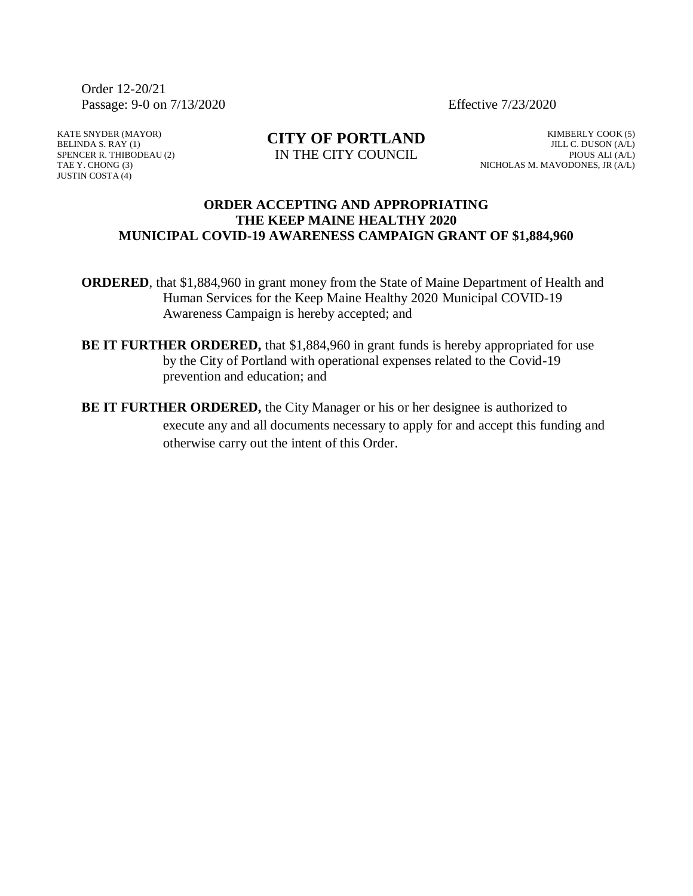Order 12-20/21 Passage: 9-0 on 7/13/2020 Effective 7/23/2020

KATE SNYDER (MAYOR) BELINDA S. RAY (1) SPENCER R. THIBODEAU (2) TAE Y. CHONG (3) JUSTIN COSTA (4)

**CITY OF PORTLAND** IN THE CITY COUNCIL

KIMBERLY COOK (5) JILL C. DUSON (A/L) PIOUS ALI (A/L) NICHOLAS M. MAVODONES, JR (A/L)

## **ORDER ACCEPTING AND APPROPRIATING THE KEEP MAINE HEALTHY 2020 MUNICIPAL COVID-19 AWARENESS CAMPAIGN GRANT OF \$1,884,960**

**ORDERED**, that \$1,884,960 in grant money from the State of Maine Department of Health and Human Services for the Keep Maine Healthy 2020 Municipal COVID-19 Awareness Campaign is hereby accepted; and

- **BE IT FURTHER ORDERED,** that \$1,884,960 in grant funds is hereby appropriated for use by the City of Portland with operational expenses related to the Covid-19 prevention and education; and
- **BE IT FURTHER ORDERED,** the City Manager or his or her designee is authorized to execute any and all documents necessary to apply for and accept this funding and otherwise carry out the intent of this Order.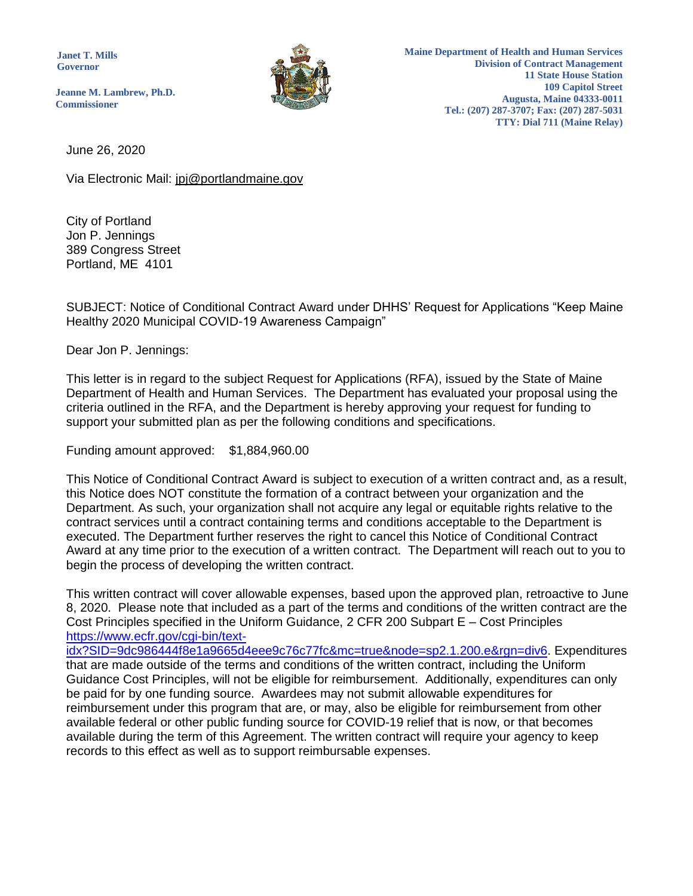**Janet T. Mills Governor**



**Maine Department of Health and Human Services Division of Contract Management 11 State House Station 109 Capitol Street Augusta, Maine 04333-0011 Tel.: (207) 287-3707; Fax: (207) 287-5031 TTY: Dial 711 (Maine Relay)**

**Jeanne M. Lambrew, Ph.D. Commissioner**

June 26, 2020

Via Electronic Mail: jpj@portlandmaine.gov

City of Portland Jon P. Jennings 389 Congress Street Portland, ME 4101

SUBJECT: Notice of Conditional Contract Award under DHHS' Request for Applications "Keep Maine Healthy 2020 Municipal COVID-19 Awareness Campaign"

Dear Jon P. Jennings:

This letter is in regard to the subject Request for Applications (RFA), issued by the State of Maine Department of Health and Human Services. The Department has evaluated your proposal using the criteria outlined in the RFA, and the Department is hereby approving your request for funding to support your submitted plan as per the following conditions and specifications.

Funding amount approved: \$1,884,960.00

This Notice of Conditional Contract Award is subject to execution of a written contract and, as a result, this Notice does NOT constitute the formation of a contract between your organization and the Department. As such, your organization shall not acquire any legal or equitable rights relative to the contract services until a contract containing terms and conditions acceptable to the Department is executed. The Department further reserves the right to cancel this Notice of Conditional Contract Award at any time prior to the execution of a written contract. The Department will reach out to you to begin the process of developing the written contract.

This written contract will cover allowable expenses, based upon the approved plan, retroactive to June 8, 2020. Please note that included as a part of the terms and conditions of the written contract are the Cost Principles specified in the Uniform Guidance, 2 CFR 200 Subpart E – Cost Principles [https://www.ecfr.gov/cgi-bin/text-](https://www.ecfr.gov/cgi-bin/text-idx?SID=9dc986444f8e1a9665d4eee9c76c77fc&mc=true&node=sp2.1.200.e&rgn=div6)

[idx?SID=9dc986444f8e1a9665d4eee9c76c77fc&mc=true&node=sp2.1.200.e&rgn=div6.](https://www.ecfr.gov/cgi-bin/text-idx?SID=9dc986444f8e1a9665d4eee9c76c77fc&mc=true&node=sp2.1.200.e&rgn=div6) Expenditures that are made outside of the terms and conditions of the written contract, including the Uniform Guidance Cost Principles, will not be eligible for reimbursement. Additionally, expenditures can only be paid for by one funding source. Awardees may not submit allowable expenditures for reimbursement under this program that are, or may, also be eligible for reimbursement from other available federal or other public funding source for COVID-19 relief that is now, or that becomes available during the term of this Agreement. The written contract will require your agency to keep records to this effect as well as to support reimbursable expenses.